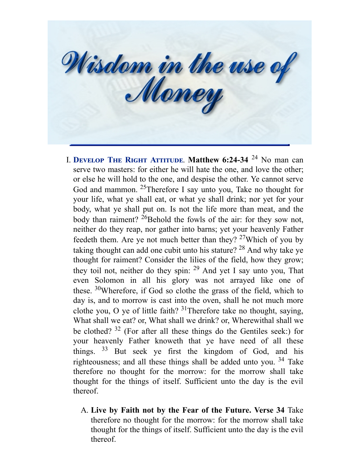Wisdom in the use of

- **I. DEVELOP THE RIGHT ATTITUDE. Matthew 6:24-34** 24 No man can serve two masters: for either he will hate the one, and love the other; or else he will hold to the one, and despise the other. Ye cannot serve God and mammon. <sup>25</sup>Therefore I say unto you, Take no thought for your life, what ye shall eat, or what ye shall drink; nor yet for your body, what ye shall put on. Is not the life more than meat, and the body than raiment? <sup>26</sup>Behold the fowls of the air: for they sow not, neither do they reap, nor gather into barns; yet your heavenly Father feedeth them. Are ye not much better than they?  $27$ Which of you by taking thought can add one cubit unto his stature?  $^{28}$  And why take ye thought for raiment? Consider the lilies of the field, how they grow; they toil not, neither do they spin:  $29$  And yet I say unto you, That even Solomon in all his glory was not arrayed like one of these. <sup>30</sup>Wherefore, if God so clothe the grass of the field, which to day is, and to morrow is cast into the oven, shall he not much more clothe you, O ye of little faith?  $31$ Therefore take no thought, saying, What shall we eat? or, What shall we drink? or, Wherewithal shall we be clothed?  $32$  (For after all these things do the Gentiles seek:) for your heavenly Father knoweth that ye have need of all these things.  $33$  But seek ye first the kingdom of God, and his righteousness; and all these things shall be added unto you. <sup>34</sup> Take therefore no thought for the morrow: for the morrow shall take thought for the things of itself. Sufficient unto the day is the evil thereof.
	- A. **Live by Faith not by the Fear of the Future. Verse 34** Take therefore no thought for the morrow: for the morrow shall take thought for the things of itself. Sufficient unto the day is the evil thereof.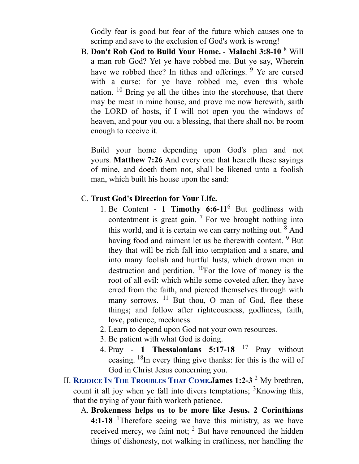Godly fear is good but fear of the future which causes one to scrimp and save to the exclusion of God's work is wrong!

B. **Don't Rob God to Build Your Home.** - **Malachi 3:8-10** <sup>8</sup> Will a man rob God? Yet ye have robbed me. But ye say, Wherein have we robbed thee? In tithes and offerings. <sup>9</sup> Ye are cursed with a curse: for ye have robbed me, even this whole nation. <sup>10</sup> Bring ye all the tithes into the storehouse, that there may be meat in mine house, and prove me now herewith, saith the LORD of hosts, if I will not open you the windows of heaven, and pour you out a blessing, that there shall not be room enough to receive it.

Build your home depending upon God's plan and not yours. **Matthew 7:26** And every one that heareth these sayings of mine, and doeth them not, shall be likened unto a foolish man, which built his house upon the sand:

## C. **Trust God's Direction for Your Life.**

- 1. Be Content **1 Timothy 6:6-11** <sup>6</sup> But godliness with contentment is great gain.  $7$  For we brought nothing into this world, and it is certain we can carry nothing out. <sup>8</sup> And having food and raiment let us be therewith content. <sup>9</sup> But they that will be rich fall into temptation and a snare, and into many foolish and hurtful lusts, which drown men in destruction and perdition.  ${}^{10}$ For the love of money is the root of all evil: which while some coveted after, they have erred from the faith, and pierced themselves through with many sorrows. <sup>11</sup> But thou, O man of God, flee these things; and follow after righteousness, godliness, faith, love, patience, meekness.
- 2. Learn to depend upon God not your own resources.
- 3. Be patient with what God is doing.
- 4. Pray **1 Thessalonians 5:17-18** <sup>17</sup> Pray without ceasing. <sup>18</sup>In every thing give thanks: for this is the will of God in Christ Jesus concerning you.
- II. REJOICE IN THE TROUBLES THAT COME. James 1:2-3<sup>2</sup> My brethren, count it all joy when ye fall into divers temptations;  ${}^{3}$ Knowing this, that the trying of your faith worketh patience.
	- A. **Brokenness helps us to be more like Jesus. 2 Corinthians 4:1-18** <sup>1</sup>Therefore seeing we have this ministry, as we have received mercy, we faint not;  $2$  But have renounced the hidden things of dishonesty, not walking in craftiness, nor handling the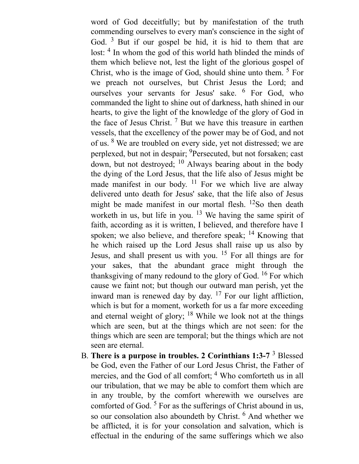word of God deceitfully; but by manifestation of the truth commending ourselves to every man's conscience in the sight of God.<sup>3</sup> But if our gospel be hid, it is hid to them that are lost: <sup>4</sup> In whom the god of this world hath blinded the minds of them which believe not, lest the light of the glorious gospel of Christ, who is the image of God, should shine unto them. <sup>5</sup> For we preach not ourselves, but Christ Jesus the Lord; and ourselves your servants for Jesus' sake. <sup>6</sup> For God, who commanded the light to shine out of darkness, hath shined in our hearts, to give the light of the knowledge of the glory of God in the face of Jesus Christ.<sup>7</sup> But we have this treasure in earthen vessels, that the excellency of the power may be of God, and not of us. <sup>8</sup> We are troubled on every side, yet not distressed; we are perplexed, but not in despair; <sup>9</sup>Persecuted, but not forsaken; cast down, but not destroyed; <sup>10</sup> Always bearing about in the body the dying of the Lord Jesus, that the life also of Jesus might be made manifest in our body.  $11$  For we which live are alway delivered unto death for Jesus' sake, that the life also of Jesus might be made manifest in our mortal flesh. <sup>12</sup>So then death worketh in us, but life in you. <sup>13</sup> We having the same spirit of faith, according as it is written, I believed, and therefore have I spoken; we also believe, and therefore speak; <sup>14</sup> Knowing that he which raised up the Lord Jesus shall raise up us also by Jesus, and shall present us with you. <sup>15</sup> For all things are for your sakes, that the abundant grace might through the thanksgiving of many redound to the glory of God. <sup>16</sup> For which cause we faint not; but though our outward man perish, yet the inward man is renewed day by day.  $17$  For our light affliction, which is but for a moment, worketh for us a far more exceeding and eternal weight of glory; <sup>18</sup> While we look not at the things which are seen, but at the things which are not seen: for the things which are seen are temporal; but the things which are not seen are eternal.

B. **There is a purpose in troubles. 2 Corinthians 1:3-7** <sup>3</sup> Blessed be God, even the Father of our Lord Jesus Christ, the Father of mercies, and the God of all comfort; <sup>4</sup> Who comforteth us in all our tribulation, that we may be able to comfort them which are in any trouble, by the comfort wherewith we ourselves are comforted of God.<sup>5</sup> For as the sufferings of Christ abound in us, so our consolation also aboundeth by Christ. <sup>6</sup> And whether we be afflicted, it is for your consolation and salvation, which is effectual in the enduring of the same sufferings which we also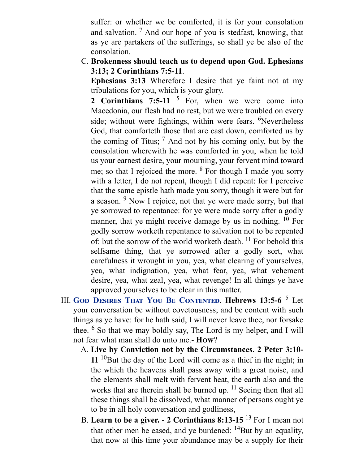suffer: or whether we be comforted, it is for your consolation and salvation.<sup>7</sup> And our hope of you is stedfast, knowing, that as ye are partakers of the sufferings, so shall ye be also of the consolation.

C. **Brokenness should teach us to depend upon God. Ephesians 3:13; 2 Corinthians 7:5-11**.

**Ephesians 3:13** Wherefore I desire that ye faint not at my tribulations for you, which is your glory.

**2 Corinthians 7:5-11** <sup>5</sup> For, when we were come into Macedonia, our flesh had no rest, but we were troubled on every side; without were fightings, within were fears. <sup>6</sup>Nevertheless God, that comforteth those that are cast down, comforted us by the coming of Titus;  $<sup>7</sup>$  And not by his coming only, but by the</sup> consolation wherewith he was comforted in you, when he told us your earnest desire, your mourning, your fervent mind toward me; so that I rejoiced the more.  $8$  For though I made you sorry with a letter, I do not repent, though I did repent: for I perceive that the same epistle hath made you sorry, though it were but for a season. <sup>9</sup> Now I rejoice, not that ye were made sorry, but that ye sorrowed to repentance: for ye were made sorry after a godly manner, that ye might receive damage by us in nothing. <sup>10</sup> For godly sorrow worketh repentance to salvation not to be repented of: but the sorrow of the world worketh death. <sup>11</sup> For behold this selfsame thing, that ye sorrowed after a godly sort, what carefulness it wrought in you, yea, what clearing of yourselves, yea, what indignation, yea, what fear, yea, what vehement desire, yea, what zeal, yea, what revenge! In all things ye have approved yourselves to be clear in this matter.

- III. GOD DESIRES THAT YOU BE CONTENTED. Hebrews 13:5-6<sup>5</sup> Let your conversation be without covetousness; and be content with such things as ye have: for he hath said, I will never leave thee, nor forsake thee. <sup>6</sup> So that we may boldly say, The Lord is my helper, and I will not fear what man shall do unto me.- **How**?
	- A. **Live by Conviction not by the Circumstances. 2 Peter 3:10-** 11<sup>10</sup>But the day of the Lord will come as a thief in the night; in the which the heavens shall pass away with a great noise, and the elements shall melt with fervent heat, the earth also and the works that are therein shall be burned up. <sup>11</sup> Seeing then that all these things shall be dissolved, what manner of persons ought ye to be in all holy conversation and godliness,
	- B. **Learn to be a giver. - 2 Corinthians 8:13-15** <sup>13</sup> For I mean not that other men be eased, and ye burdened:  $^{14}$ But by an equality, that now at this time your abundance may be a supply for their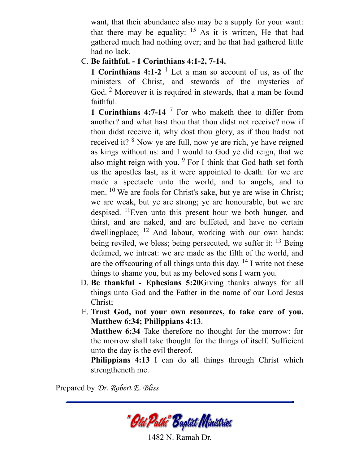want, that their abundance also may be a supply for your want: that there may be equality:  $15$  As it is written, He that had gathered much had nothing over; and he that had gathered little had no lack.

## C. **Be faithful. - 1 Corinthians 4:1-2, 7-14.**

**1 Corinthians 4:1-2** <sup>1</sup> Let a man so account of us, as of the ministers of Christ, and stewards of the mysteries of God.<sup>2</sup> Moreover it is required in stewards, that a man be found faithful.

**1 Corinthians 4:7-14** <sup>7</sup> For who maketh thee to differ from another? and what hast thou that thou didst not receive? now if thou didst receive it, why dost thou glory, as if thou hadst not received it? <sup>8</sup> Now ye are full, now ye are rich, ye have reigned as kings without us: and I would to God ye did reign, that we also might reign with you. <sup>9</sup> For I think that God hath set forth us the apostles last, as it were appointed to death: for we are made a spectacle unto the world, and to angels, and to men. <sup>10</sup> We are fools for Christ's sake, but ye are wise in Christ; we are weak, but ye are strong; ye are honourable, but we are despised. <sup>11</sup>Even unto this present hour we both hunger, and thirst, and are naked, and are buffeted, and have no certain dwellingplace; <sup>12</sup> And labour, working with our own hands: being reviled, we bless; being persecuted, we suffer it: <sup>13</sup> Being defamed, we intreat: we are made as the filth of the world, and are the offscouring of all things unto this day.  $^{14}$  I write not these things to shame you, but as my beloved sons I warn you.

- D. **Be thankful - Ephesians 5:20**Giving thanks always for all things unto God and the Father in the name of our Lord Jesus Christ;
- E. **Trust God, not your own resources, to take care of you. Matthew 6:34; Philippians 4:13**.

**Matthew 6:34** Take therefore no thought for the morrow: for the morrow shall take thought for the things of itself. Sufficient unto the day is the evil thereof.

**Philippians 4:13** I can do all things through Christ which strengtheneth me.

Prepared by *Dr. Robert E. Bliss*

"Old Patks" Baptist Ministries

1482 N. Ramah Dr.